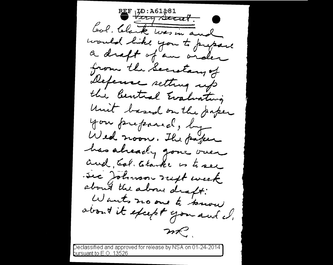REF ID: A61\$81 bal. Clark was in and would like you to prepare a draft of an order from the Secretary of Defense setting up the bentral Evaluating Unit based on the paper you prepared, by Wed noon. The paper has already gone over and, Gol. Clarke is to see sec Johnson next week about the about draft:<br>Wants no one to know about it except you and it.  $n\epsilon$ 

Declassified and approved for release by NSA on 01-24-2014. bursuant to E.O. 13526  $^{\circ}$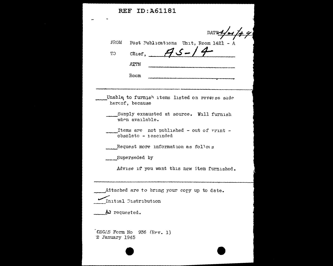| <b>REF ID: A61181</b>                                                                                                                                                                                                                                                                                                                                                                                |  |  |  |
|------------------------------------------------------------------------------------------------------------------------------------------------------------------------------------------------------------------------------------------------------------------------------------------------------------------------------------------------------------------------------------------------------|--|--|--|
| <b>DATE-</b>                                                                                                                                                                                                                                                                                                                                                                                         |  |  |  |
| FROM Post Publications Unit, Room 1421 - A                                                                                                                                                                                                                                                                                                                                                           |  |  |  |
| $75 - 14$<br>Chief.<br><b>TO</b>                                                                                                                                                                                                                                                                                                                                                                     |  |  |  |
| ATTN                                                                                                                                                                                                                                                                                                                                                                                                 |  |  |  |
| Room<br>$\frac{1}{2} \frac{1}{2} \left( \frac{1}{2} \frac{1}{2} \frac{1}{2} \frac{1}{2} \frac{1}{2} \frac{1}{2} \frac{1}{2} \frac{1}{2} \frac{1}{2} \frac{1}{2} \frac{1}{2} \frac{1}{2} \frac{1}{2} \frac{1}{2} \frac{1}{2} \frac{1}{2} \frac{1}{2} \frac{1}{2} \frac{1}{2} \frac{1}{2} \frac{1}{2} \frac{1}{2} \frac{1}{2} \frac{1}{2} \frac{1}{2} \frac{1}{2} \frac{1}{2} \frac{1}{2} \frac{1}{2}$ |  |  |  |
|                                                                                                                                                                                                                                                                                                                                                                                                      |  |  |  |
| Unable to furnish items listed on reverse side<br>hercof, because<br>Supply exnausted at source. Will furnish<br>when available.<br>Items are not published - out of rrint -<br>obsolete - iescinded                                                                                                                                                                                                 |  |  |  |
| Request more information as follows                                                                                                                                                                                                                                                                                                                                                                  |  |  |  |
| Superseded by                                                                                                                                                                                                                                                                                                                                                                                        |  |  |  |
| Advise if you want this new item furnished.                                                                                                                                                                                                                                                                                                                                                          |  |  |  |
| Attached are to bring your copy up to date.                                                                                                                                                                                                                                                                                                                                                          |  |  |  |
| Initial Distribution                                                                                                                                                                                                                                                                                                                                                                                 |  |  |  |

 $\mathbf{\mathcal{L}}$  requested.

CSGAS Form No 936 (Rev. 1)<br>2 January 1945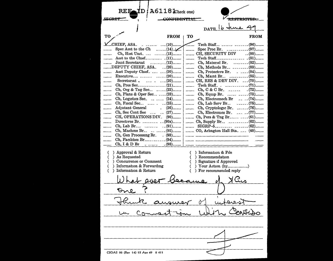$\textbf{1D}$   $\textbf{l}$  A6118  $\textbf{l}_{\text{Check one}}$ **REE SEGRET** CONFIDENTIAT **RRSTRICTE** DATE 16 time 4 **TO FROM TO FROM** CHIEF. ASA Tech Staff.  $(96)$  $_{--}$  (10). Spec Asst to the Ch  $---(14)$ Spec Proc Br.  $(97)$  $Ch. Hist Unit_{\_}$   $\_$ CH. SECURITY DIV  $-.$  (80).  $\frac{1}{2}$ Asst to the Chief-Joint Secretariat  $\frac{1}{2}$  (12).  $Ch.$  Materiel Br.  $\ldots$  (82)  $\overline{\phantom{a}}$ DEPUTY CHIEF, ASA.  $-$  (20).  $Ch.$  Methods Br<sub>-c</sub> --------(83).  $\frac{1}{2}$ Asst Deputy Chief.  $\ldots$  (20). Ch. Protective Br.  $\sim$   $\sim$   $\sim$   $(84)$  $\overline{\phantom{a}}$ Executive<sub>---</sub> ------ ----- (20). Ch. Maint Br<sub>-c</sub>  $(85)$  $\overline{\phantom{a}}$ Secretariat \_ \_\_\_\_ \_ \_\_\_(20). CH, RES & DEV DIV. ...(70).  $\overline{\phantom{a}}$ Tech Staff<sub>1</sub>  $=$   $=$   $=$   $(71)$ Ch, Org & Tng Sec...  $_{---}(22)$ .  $Ch, C & C Br$  \_\_\_\_\_\_\_  $(72)$ Ch, Plans & Oper Sec.  $\ldots$  (23) Ch, Equip Br.  $\ldots$   $\ldots$  (73)  $\overline{\phantom{a}}$ Ch, Logistics Sec.  $\ldots$   $(24)$ . Ch. Electromech Br  $\sim$  - - (74) Ch. Fiscal Sec.  $-.(25)$ Ch. Lab Serv Br.  $---(75)$ **Adjutant General**  $(26)$ Ch, Cryptologic Br.  $\ldots$  (76)  $\overline{\phantom{a}}$ Ch. Sec Cont Sec \_\_\_  $(27)$ Ch, Electronics Br.  $\ldots$  (77).  $\sim$  $\frac{1}{2}$ CH, OPERATIONS DIV\_  $(90)$  $\overline{\phantom{a}}$ Directives Br.  $27.283$  (90x). Ch. Supply  $Br_{zz}$   $\qquad \qquad 62)$  $\overline{\phantom{a}}$  $Ch. Lab Br<sub>osc</sub>$  $SIGRP-5$ <sub>---------</sub>  $_{\text{2}}$ ------(62).  $(91)$  $\sim$ Ch, Machine Br. CO, Arlington Hall Sta.  $(40)$  $---(92)$ Ch. Gen Processing Br.  $(93)$ Ch. Facilities  $Br_{\texttt{---}}$  (94).  $Ch, I & D Br$  $(95)$ بالمستدرات ) Approval & Return ) Information & File Recommendation ) As Requested ) Concurrence or Comment Signature if Approved - 1 ) Information & Forwarding Your Action (by\_ Information & Return For recommended reply  $-010$ One CSGAS 96 (Rev 14) 15 Apr 49 8 411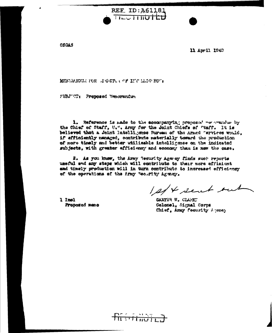CSGAS

11 April 1940

MUCRANDUA POR AGETLA OF INT LAIG ROU.

FUBJ TI: Proposed Venerandum

1. Reference is made to the soccepanying proposed we examine by the Chief of Staff. U.". Army for the Joint Chiefs of "taff. It is believed that a Joint Intelligence Bureau of the Armed "ervices would, if efficiently nanaged, contribute materially teward the preduction of more timely and better utilizable intolligence on the indicated subjects, with greater efficiency and economy than is now the case.

REF ID: A61181 **TILUTTINU LU** 

2. As you know, the Army Wesurity Agency finds such reports usaful and any steps which will contribute to their more officient and timely production will in turn contribute to increased efficiency of the operations of the Army "ec.rity Agency.

RESTAUTED

1 Insl Proposed Mano

1st sent out

CARTER W. CLARKT Colonel, Signal Corps Chief, Army Coourity Agency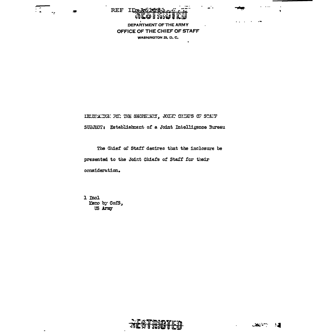

 $\overline{a}$ 

DEPARTMENT OF THE ARMY OFFICE OF THE CHIEF OF STAFF **WASHINGTON 25, D. C.** 

REF ID

IEMONATOR FOR THE SECRETARY, JOHN CHIEFS OF STAFF SUEJECT: Establishment of a Joint Intelligence Bureau

The Chief of Staff desires that the inclosure be presented to the Joint Chiefs of Staff for their consideration.

 $1 \text{ } \mathrm{mc}1$ Memo by CofS, US Army



 $\sim$  $\sim$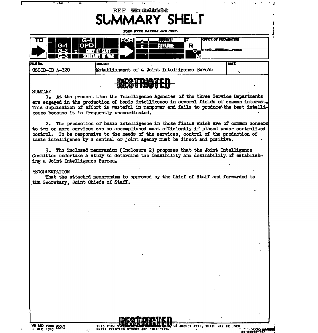

### **SUMMARY**

1. At the present time the Intelligence Agencies of the three Service Departments are engaged in the production of basic intelligence in several fields of common interest. This duplication of effort is wasteful in manpower and fails to produce the best intelligence because it is frequently uncoordinated.

2. The production of basic intelligence in those fields which are of common concern to two or more services can be accomplished most efficiently if placed under centralized control. To be responsive to the needs of the services, control of the production of basic intelligence by a central or joint agency must be direct and positive.

3. The inclosed memorandum (Inclosure 2) proposes that the Joint Intelligence Committee undertake a study to determine the feasibility and desirability of establishing a Joint Intelligence Eureau.

### **RECOLLENDATION**

That the attached memorandum be approved by the Chief of Staff and forwarded to the Secretary, Joint Chiefs of Staff.

THIS FORM SUPERSEDES U. HALLS ON LEAD 26 AUGUST 1944, WHICH MAY BE USED UNTIL EXISTING STOCKS ARE EXHAUSTED.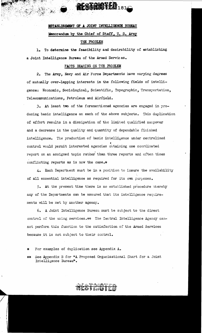# ESTABLISHMENT OF A JOINT INTELLIGENCE BUREAU Memorandum by the Chief of Staff, U.S. Army

## THE PROBLEM

1. To determine the feasibility and desirability of establishing a Joint Intelligence Bureau of the Armed Services.

## FACTS BEARING ON THE PROBLEM

2. The Army, Navy and Air Force Departments have varying degrees of mutually over-lapping interests in the following fields of intelligence: Economic, Sociological, Scientific, Topographic, Transportation, Telecommunications, Petroleum and Airfield.

3. At least two of the forementioned agencies are engaged in producing basic intelligence on each of the above subjects. This duplication of effort results in a dissipation of the limited qualified manpower and a decrease in the quality and quantity of dependable finished intelligence. The production of basic intelligence under centralized control would permit interested agencies obtaining one coordinated report on an assigned topic rather than three reports and often times conflicting reports as is now the case.\*

4. Each Department must be in a position to insure the availability of all essential intelligence as required for its own purposes.

5. At the present time there is no established procedure whereby any of the Departments can be assured that its intelligence requirements will be met by another agency.

6. A Joint Intelligence Bureau must be subject to the direct control of the using services.\*\* The Central Intelligence Agency cannot perform this function to the satisfaction of the Armed Services because it is not subject to their control.

For examples of duplication see Appendix A.

See Appendix B for "A Proposed Organizational Chart for a Joint 长长 Intelligence Bureau".

RESTANDTED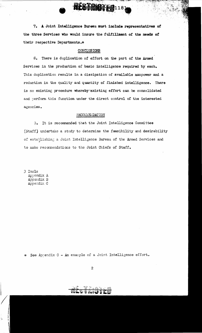7. A Joint Intelligence Bureau must include representatives of the three Services who would insure the fulfillment of the needs of their respective Departments.\*

**CHOLORY (A)**<br>CHECHOLORY (A)

## **CONCLUSIONS**

 $8.$ There is duplication of effort on the part of the Armed Services in the production of basic intelligence required by each. This duplication results in a dissipation of available manpower and a reduction in the quality and quantity of finished intelligence. There is no existing procedure whereby 'existing effort can be consolidated and perform this function under the direct control of the interested agencies.

## RECOLLENDATION

9. It is recommended that the Joint Intelligence Committee (Staff) undertake a study to determine the feasibility and desirability of establishing a Joint Intelligence Bureau of the Armed Services and to make recommendations to the Joint Chiefs of Staff.

3 Incls Appendix A Appendix B Appendix C

\* See Appendix C - An example of a Joint Intelligence effort.

 $\overline{c}$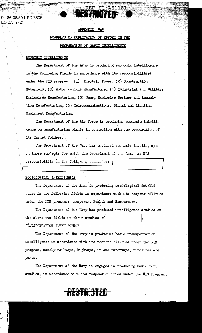PL 86-36/50 USC 3605  $EO 3.3(h)(2)$ 

# APPENDIX "A" EXAMPLES OF DUPLICATION OF EFFORT IN THE

PREPARATION OF BASIC INTELLIGENCE

61181

## ECONOMIC INTELLIGENCE

The Department of the Army is producing economic intelligence in the following fields in accordance with its responsibilities under the NIS program: (1) Electric Power, (2) Construction Materials, (3) Motor Vehicle Manufacture, (4) Industrial and Military Explosives Manufacturing, (5) Guns, Explosive Devices and Ammunition Manufacturing, (6) Telecommunications, Signal and Lighting Equipment Manufacturing.

The Department of the Air Force is producing economic intelligence on manufacturing plants in connection with the preparation of its Target Folders.

The Department of the Navy has produced economic intelligence on those subjects for which the Department of the Army has NIS responsibility on the following countries:

## SOCIOLOGICAL INTELLIGENCE

The Department of the Army is producing sociological intelligence in the following fields in accordance with its responsibilities under the NIS program: Manpower, Health and Sanitation.

The Department of the Navy has produced intelligence studies on the above two fields in their studies of TRANSPORTATION INTELLIGENCE

The Department of the Army is producing basic transportation intelligence in accordance with its responsibilities under the NIS program, namely, railways, highways, inland waterways, pipelines and ports.

The Department of the Navy is engaged in producing basic port studies, in accordance with its responsibilities under the NIS program.

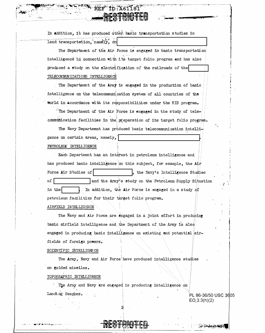| <u>mro romantro</u>                                                      |                          |
|--------------------------------------------------------------------------|--------------------------|
| In addition, it has produced other basic transportation studies in       |                          |
| land transportation, namely, on                                          |                          |
| The Department of the Air Force is engaged in basic transportation       |                          |
| intelligence in connection with its target folio program and has also    |                          |
| produced a study on the electrification of the railroads of the          |                          |
| TELECOMMUNICATIONS INTELLIGENCE                                          |                          |
| The Department of the Army is engaged in the production of basic         |                          |
| intelligence on the telecommunication system of all countries of the     |                          |
| morid in accordance with its responsibilities under the NIS program.     |                          |
| The Department of the Air Force is engaged in the study of tele-         |                          |
| communication facilities in the preparation of its target folio program. |                          |
| The Navy Department has produced basic telecommunication intelli-        |                          |
| gence on certain areas, namely,                                          |                          |
| PETROLEUM INTELLIGENCE                                                   |                          |
| Each Department has an interest in petroleum intelligence and            |                          |
| has produced basic intelligence on this subject, for example, the Air    |                          |
| Force Lir Studies of<br>the Navy's Intelligence Studies                  |                          |
| оf<br>and the Army's study on the Petroleum Supply Situation             |                          |
| in the<br>In addition, the Air Force is engaged in a study of            |                          |
| petroleum facilities for their target folio program.                     |                          |
| AIRFIELD INTELLIGENCE                                                    |                          |
| The Navy and Air Force are engaged in a joint effort in producing        |                          |
| basic airfield intelligence and the Department of the Army is also       |                          |
| engaged in producing basic intelligence on existing and potential air-   |                          |
| fields of foreign powers.                                                |                          |
| SCIENTIFIC INTELLIGEN CE                                                 |                          |
| The Army, Navy and Air Force have produced intelligence studies          |                          |
| on guided missiles.                                                      |                          |
| TOPOGRAPHIC INTELLIGENCE                                                 |                          |
| The Army and Navy are engaged in producing intelligence on               |                          |
| Landing Beaches.                                                         | PL 86-36/50 USC 3605     |
|                                                                          | EO <sub>.3.3(h)(2)</sub> |
|                                                                          |                          |

RESTRICTED

 $\ddot{\phantom{a}}$ 

AND STREET

 $\tilde{L} = \sigma$ 

 $\sqrt{2}$ 

 $256 -$ 

r and des

உதை வருக்கு இருந்து இருந்து இருந்து வருக்கும் அருக்கும் அருக்கும் அருக்கும் அருக்கும் அருக்கும் அருக்கும் அருக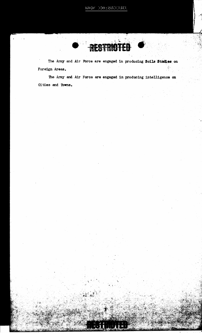$\text{BSE}(\mathbb{H}^n \setminus \mathbb{H}) \cup \text{BSE}(\mathbb{H}^n \setminus \mathbb{H}^n)$ 

**NETTORIA**<br>NETTANN

The Army and Air Force are engaged in producing Soils Studies on Foreign Areas.

The Army and Air Force are engaged in producing intelligence on Cities and Towns.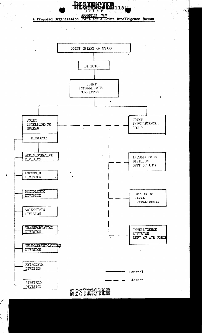

*BRIF* 

**TOIOTEN**<br>ESIGNI LAS 1187



**OFSTRICTED**